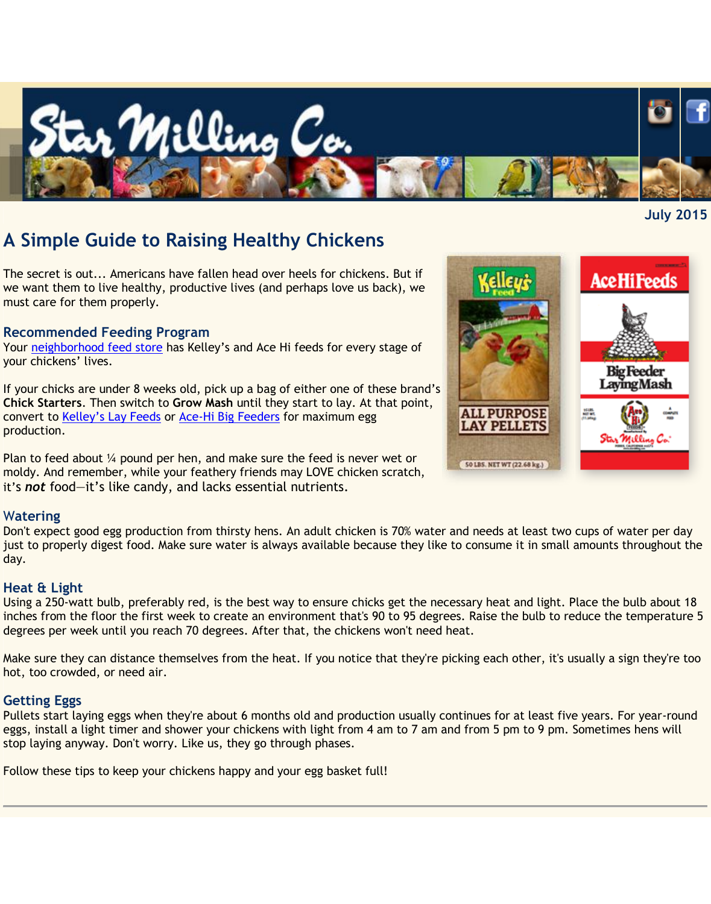

# **A Simple Guide to Raising Healthy Chickens**

The secret is out... Americans have fallen head over heels for chickens. But if we want them to live healthy, productive lives (and perhaps love us back), we must care for them properly.

#### **Recommended Feeding Program**

Your [neighborhood feed store](http://www.starmilling.com/dealer.php) has Kelley's and Ace Hi feeds for every stage of your chickens' lives.

If your chicks are under 8 weeks old, pick up a bag of either one of these brand's **Chick Starters**. Then switch to **Grow Mash** until they start to lay. At that point, convert to Kelley's [Lay Feeds](http://www.starmilling.com/Products/Poultry%20Products/kelley%20brand/Kelley%27s%20Lay%20Mash%206.16.15%20web.pdf) or [Ace-Hi Big Feeders](http://www.starmilling.com/Products/Poultry%20Products/ace%20hi%20brand/35000425%20BFL%20Mash.pdf) for maximum egg production.

Plan to feed about ¼ pound per hen, and make sure the feed is never wet or moldy. And remember, while your feathery friends may LOVE chicken scratch, it's *not* food—it's like candy, and lacks essential nutrients.

#### W**atering**

Don't expect good egg production from thirsty hens. An adult chicken is 70% water and needs at least two cups of water per day just to properly digest food. Make sure water is always available because they like to consume it in small amounts throughout the day.

#### **Heat & Light**

Using a 250-watt bulb, preferably red, is the best way to ensure chicks get the necessary heat and light. Place the bulb about 18 inches from the floor the first week to create an environment that's 90 to 95 degrees. Raise the bulb to reduce the temperature 5 degrees per week until you reach 70 degrees. After that, the chickens won't need heat.

Make sure they can distance themselves from the heat. If you notice that they're picking each other, it's usually a sign they're too hot, too crowded, or need air.

#### **Getting Eggs**

Pullets start laying eggs when they're about 6 months old and production usually continues for at least five years. For year-round eggs, install a light timer and shower your chickens with light from 4 am to 7 am and from 5 pm to 9 pm. Sometimes hens will stop laying anyway. Don't worry. Like us, they go through phases.

Follow these tips to keep your chickens happy and your egg basket full!



**July 2015**